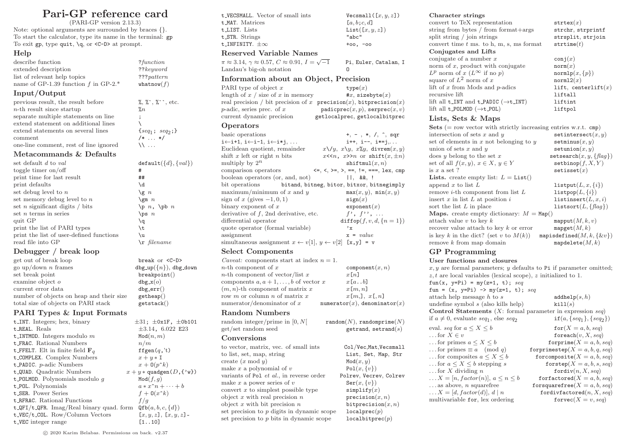# Pari-GP reference card

(PARI-GP version 2.13.3)

Note: optional arguments are surrounded by braces {}. To start the calculator, type its name in the terminal: gp To exit gp, type quit,  $\qquad \alpha$ , or  $\langle C-D \rangle$  at prompt.

### **Help**

| describe function                      | ? function     |
|----------------------------------------|----------------|
| extended description                   | ?? keyword     |
| list of relevant help topics           | ??? pattern    |
| name of GP-1.39 function $f$ in GP-2.* | what now $(f)$ |

### Input/Output

| previous result, the result before     | $\%$ , $\%$ , $\%$ , etc. |
|----------------------------------------|---------------------------|
| $n$ -th result since startup           | $\gamma_n$                |
| separate multiple statements on line   |                           |
| extend statement on additional lines   |                           |
| extend statements on several lines     | $\{seq_1; seq_2; \}$      |
| comment                                | $/* \dots */$             |
| one-line comment, rest of line ignored | $\mathcal{N}$             |
|                                        |                           |

## Metacommands & Defaults

| set default d to val                                 | $\texttt{default}({d}),$ |
|------------------------------------------------------|--------------------------|
| toggle timer on/off                                  | #                        |
| print time for last result                           | ##                       |
| print defaults                                       | ١d                       |
| set debug level to $n$                               | $\lg n$                  |
| set memory debug level to $n$                        | $\text{cm}$ n            |
| set <i>n</i> significant digits $\frac{\ }{\ }$ bits | $\pi$ , $\pi$            |
| set $n$ terms in series                              | $\gamma$                 |
| quit GP                                              | \a                       |
| print the list of PARI types                         | \t                       |
| print the list of user-defined functions             | ١u                       |
| read file into GP                                    | $\mathcal{F}$ filename   |
|                                                      |                          |

## Debugger / break loop

| get out of break loop                    | break or $\langle C-D \rangle$ |
|------------------------------------------|--------------------------------|
| go up/down <i>n</i> frames               | $dbg.up({n}), dbg-down$        |
| set break point                          | breakpoint()                   |
| examine object o                         | $dbg_x(o)$                     |
| current error data                       | $dbg_error()$                  |
| number of objects on heap and their size | getheap()                      |
| total size of objects on PARI stack      | getstack()                     |

## PARI Types & Input Formats

| t_INT. Integers; hex, binary                                          | $\pm 31$ ; $\pm 0x1F$ , $\pm 0b101$       |
|-----------------------------------------------------------------------|-------------------------------------------|
| t_REAL. Reals                                                         | $\pm 3.14$ , 6.022 E23                    |
| t_INTMOD. Integers modulo $m$                                         | Mod(n, m)                                 |
| t_FRAC. Rational Numbers                                              | n/m                                       |
| t_FFELT. Elt in finite field $\mathbf{F}_q$                           | $\texttt{ffgen}(q, \text{'t})$            |
| t_COMPLEX. Complex Numbers                                            | $x + y * I$                               |
| $t$ _PADIC. $p$ -adic Numbers                                         | $x + \mathsf{O}(p^{\wedge}k)$             |
| t_QUAD. Quadratic Numbers                                             | $x + y * quadgen(D, \{ 'w \})$            |
| <b>t_POLMOD.</b> Polynomials modulo $q$                               | Mod(f, q)                                 |
| t_P0L. Polynomials                                                    | $a * x \hat{ } \hat{ } \, n + \cdots + b$ |
| t_SER. Power Series                                                   | $f + \mathsf{O}(x \, \hat{\,} k)$         |
| t_RFRAC. Rational Functions                                           | f/q                                       |
| <b>t_QFI/t_QFR.</b> Imag/Real binary quad. form $Qfb(a, b, c, \{d\})$ |                                           |
| t_VEC/t_COL. Row/Column Vectors                                       | $[x, y, z]$ , $[x, y, z]$                 |
| t_VEC integer range                                                   | [110]                                     |
|                                                                       |                                           |

 $\texttt{isalt}(\{d\}, \{val\})$ t\_VECSMALL. Vector of small ints  $\begin{array}{ll}\n\text{Vecsmall}([x, y, z]) \\
\text{t\_MAT. Matrices} & \text{a.b.c.d} \\
\end{array}$ t\_MAT. Matrices t LIST. Lists List $(x, y, z)$ t STR. Strings "abc" t\_INFINITY.  $\pm \infty$  +00, -00 Reserved Variable Names  $\pi \approx 3.14, \gamma \approx 0.57, C \approx 0.91, I = \sqrt{2}$ Landau's big-oh notation Information about an Object, Precision PARI type of object  $x$  type $(x)$ length of x / size of x in memory  $\#x$ , sizebyte $(x)$ real precision / bit precision of x precision $(x)$ , bitprecision $(x)$ p-adic, series prec. of x padicprec $(x, p)$ , serprec $(x, v)$ current dynamic precision getlocalprec, getlocalbitprec **Operators** basic operations  $+, -, *, /, \hat{ }$ , sqr<br> $i \leftarrow i+1, i \leftarrow i-1, i \leftarrow i+j, ...$   $i++, i-, i*=j,...$  $i \leftarrow i+1, i \leftarrow i-1, i \leftarrow i+j, \ldots$ Euclidean quotient, remainder  $x \vee y$ ,  $x \vee y$ ,  $x \vee y$ , divrem $(x, y)$ shift x left or right n bits  $x \leq n$ ,  $x \geq n$  or shift(x,  $\pm n$ ) multiply by  $2^n$  shiftmul(x, n) comparison operators  $\langle 1, \rangle, \rangle = 1, \rangle = 1, \rangle = 1, \rangle = 1$  ex, cmp

| boolean operators (or, and, not)                                         | $  , \&\&, \cdot$                          |
|--------------------------------------------------------------------------|--------------------------------------------|
| bit operations                                                           | bitand, bitneg, bitor, bitxor, bitnegimply |
| maximum/minimum of x and $y$                                             | $max(x, y)$ , $min(x, y)$                  |
| sign of x (gives $-1, 0, 1$ )                                            | sign(x)                                    |
| binary exponent of $x$                                                   | exponent(x)                                |
| derivative of $f$ , 2nd derivative, etc.                                 | $f'$ , $f'$ ,                              |
| differential operator                                                    | diffop $(f, v, d, \{n = 1\})$              |
| quote operator (formal variable)                                         | $v_{\rm x}$                                |
| assignment                                                               | $x = value$                                |
| simultaneous assignment $x \leftarrow v[1], y \leftarrow v[2]$ [x,y] = v |                                            |

Pi, Euler, Catalan, I<br>∩

### Select Components

| <i>Caveat:</i> components start at index $n = 1$ . |                                     |
|----------------------------------------------------|-------------------------------------|
| <i>n</i> -th component of $x$                      | component(x, n)                     |
| <i>n</i> -th component of vector/list $x$          | x[n]                                |
| components $a, a+1, \ldots, b$ of vector x         | x[a, b]                             |
| $(m, n)$ -th component of matrix x                 | x[m, n]                             |
| row m or column n of matrix $x$                    | x[m,], x[, n]                       |
| numerator/denominator of $x$                       | numerator $(x)$ , denominator $(x)$ |

### Random Numbers

| random integer/prime in $[0, N]$<br>get/set random seed | $\texttt{random}(N)$ , $\texttt{randomprime}(N)$<br>getrand, setrand $(s)$ |
|---------------------------------------------------------|----------------------------------------------------------------------------|
| Conversions                                             |                                                                            |
| to vector, matrix, vec. of small ints                   | Col/Vec, Mat, Vecsmall                                                     |
| to list, set, map, string                               | List, Set, Map, Str                                                        |
| create $(x \mod y)$                                     | Mod(x, y)                                                                  |
| make $x$ a polynomial of $v$                            | $Pol(x, \{v\})$                                                            |
| variants of Pol <i>et al.</i> , in reverse order        | Polrev, Vecrev, Colrev                                                     |
| make $x$ a power series of $v$                          | $\text{Ser}(x, \{v\})$                                                     |
| convert $x$ to simplest possible type                   | simplify(x)                                                                |
| object x with real precision $n$                        | precision(x, n)                                                            |
| object $x$ with bit precision $n$                       | bitprecision $(x, n)$                                                      |
| set precision to p digits in dynamic scope              | localprec(p)                                                               |
| set precision to p bits in dynamic scope                | locationrec(p)                                                             |
|                                                         |                                                                            |

### Character strings

| convert to TeX representation                             | $\texttt{strtex}(x)$   |
|-----------------------------------------------------------|------------------------|
| string from bytes / from format+args                      | strchr, strprintf      |
| split string / join strings                               | strsplit, strjoin      |
| convert time $t$ ms. to h, m, s, ms format                | $\texttt{strtime}(t)$  |
| Conjugates and Lifts                                      |                        |
| conjugate of a number $x$                                 | $\text{conj}(x)$       |
| norm of $x$ , product with conjugate                      | norm(x)                |
| $L^p$ norm of x $(L^{\infty}$ if no p)                    | $normlp(x, {p})$       |
| square of $L^2$ norm of x                                 | norm12(x)              |
| lift of $x$ from Mods and $p$ -adics                      | lift, centerlift $(x)$ |
| recursive lift                                            | liftall                |
| lift all $t\_INT$ and $t\_PADIC$ ( $\rightarrow t\_INT$ ) | liftint                |
| lift all $t_POLMOD (\rightarrow t_POL)$                   | liftpol                |
|                                                           |                        |

### Lists, Sets & Maps

| Sets (= row vector with strictly increasing entries w.r.t. $cmp)$ ) |                                   |
|---------------------------------------------------------------------|-----------------------------------|
| intersection of sets $x$ and $y$                                    | setintersect $(x, y)$             |
| set of elements in $x$ not belonging to $y$                         | setminus(x, y)                    |
| union of sets $x$ and $y$                                           | $\texttt{setunion}(x, y)$         |
| does $y$ belong to the set $x$                                      | $setsearch(x, y, \{flag\})$       |
| set of all $f(x, y), x \in X, y \in Y$                              | $\mathsf{setbinop}(f, X, Y)$      |
| is $x$ a set ?                                                      | setisset(x)                       |
| <b>Lists.</b> create empty list: $L = List()$                       |                                   |
| append $x$ to list $L$                                              | listput $(L, x, \{i\})$           |
| remove <i>i</i> -th component from list $L$                         | $listpop(L, \{i\})$               |
| insert $x$ in list $L$ at position $i$                              | listinsert $(L, x, i)$            |
| sort the list $L$ in place                                          | listsort $(L, \{flag\})$          |
| <b>Maps.</b> create empty dictionary: $M = Map()$                   |                                   |
| attach value $v$ to key $k$                                         | mapput $(M, k, v)$                |
| recover value attach to key $k$ or error                            | mapget $(M, k)$                   |
| is key k in the dict? (set v to $M(k)$ )                            | mapisdefined $(M, k, \{ \& v \})$ |
| remove $k$ from map domain                                          | mapdelete $(M, k)$                |
|                                                                     |                                   |

### GP Programming

### User functions and closures

```
x, y are formal parameters; y defaults to Pi if parameter omitted;
z, t are local variables (lexical scope), z initialized to 1.
fun(x, y=Pi) = my(z=1, t); seqfun = (x, y=Pi) -> my(z=1, t); seq
attach help message h to s addhelp(s, h)<br>undefine symbol s (also kills help) kill(s)undefine symbol s (also kills help)
Control Statements (X: \text{ formal parameter in expression } seq)if a \neq 0, evaluate seq<sub>1</sub>, else seq<sub>2</sub>
                                             if(a, {seq<sub>1</sub>}, {seq<sub>2</sub>})
eval. seq for a \leq X \leq b for (X = a, b, seq)... for X \in v for each (v, X, seq)... for primes a \leq X \leq b for prime (X = a, b, seq)... for primes \equiv a \pmod{q} for primestep(X = a, b, q, seq)
... for composites a \le X \le b for composite (X = a, b, seq)... for a \le X \le b stepping s<br>
... for X dividing n fordiv(n. X, seq)
... for X dividing n\ldots X = [n, factor(n)], a \le n \le b forfactored(X = a, b, seq)\ldots as above, n squarefree for squarefree(X = a, b, seq)
\ldots X = [d, factor(d)], d | n fordivfactored(n, X, seq)multivariable for, lex ordering f(\text{or } y \in X = v, \text{seq})
```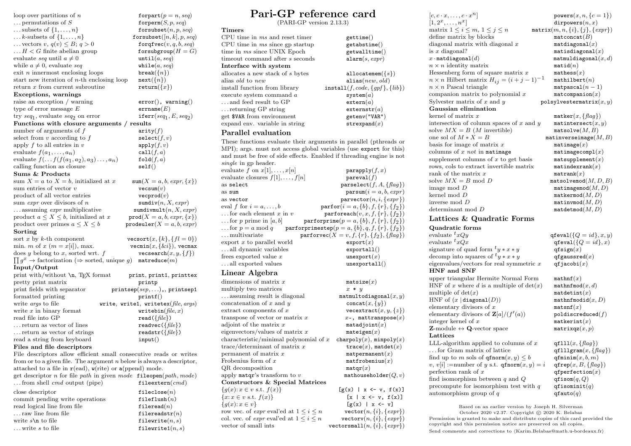| loop over partitions of $n$                                                                         | forpart $(p=n,seq)$                                               |
|-----------------------------------------------------------------------------------------------------|-------------------------------------------------------------------|
| $\ldots$ permutations of S                                                                          | $\texttt{forperm}(S,p,seq)$                                       |
| subsets of $\{1,\ldots,n\}$                                                                         | ${\tt forsubset}(n,p,seq)$                                        |
| $k$ -subsets of $\{1, \ldots, n\}$                                                                  | ${\tt forsubset}([n,k],p,seq)$                                    |
| vectors v, $q(v) \leq B$ ; $q > 0$                                                                  | $\texttt{forqfvec}(v, q, b, seq)$                                 |
| $\ldots$ $H < G$ finite abelian group                                                               | forsubgroup $(H = G)$                                             |
| evaluate seq until $a \neq 0$                                                                       | until(a, seq)                                                     |
| while $a \neq 0$ , evaluate seq                                                                     | while $(a, seq)$                                                  |
| $ext\ n$ innermost enclosing loops                                                                  | $break(\lbrace n \rbrace)$                                        |
| start new iteration of $n$ -th enclosing loop                                                       | $next(\lbrace n \rbrace)$                                         |
| return $x$ from current subroutine                                                                  | $return({x})$                                                     |
| Exceptions, warnings                                                                                |                                                                   |
| raise an exception / warning                                                                        | $error(),$ warning()                                              |
| type of error message $E$                                                                           | $\mathtt{errname}(E)$                                             |
| try $seq_1$ , evaluate $seq_2$ on error                                                             | iferr $(seq_1, E, seq_2)$                                         |
| Functions with closure arguments / results                                                          |                                                                   |
| number of arguments of $f$                                                                          | $\texttt{arity}(f)$                                               |
| select from $v$ according to $f$                                                                    | $\mathtt{select}(f,v)$                                            |
| apply $f$ to all entries in $v$                                                                     | $\mathtt{apply}(f,v)$                                             |
| evaluate $f(a_1, \ldots, a_n)$                                                                      | $\mathtt{call}(f,a)$                                              |
| evaluate $f(\ldots f(f(a_1,a_2),a_3)\ldots,a_n)$                                                    | $\texttt{fold}(f,a)$                                              |
| calling function as closure                                                                         | $\texttt{self}()$                                                 |
| Sums & Products                                                                                     |                                                                   |
| sum $X = a$ to $X = b$ , initialized at x                                                           | $sum(X = a, b, expr, \{x\})$                                      |
| sum entries of vector $v$                                                                           | $\mathtt{vecsum}(v)$                                              |
| product of all vector entries                                                                       | $\mathtt{verprod}(v)$                                             |
| sum <i>expr</i> over divisors of $n$                                                                | sumdiv(n, X, expr)                                                |
| $\ldots$ assuming <i>expr</i> multiplicative                                                        | sumdivmult $(n, X, expr)$                                         |
| product $a \leq X \leq b$ , initialized at x                                                        | $\texttt{prod}(X = a, b, expr, \{x\})$                            |
| product over primes $a \leq X \leq b$                                                               | prodeuler $(X = a, b, expr)$                                      |
| Sorting                                                                                             |                                                                   |
| sort $x$ by $k$ -th component                                                                       | vecsort $(x, \{k\}, \{fl=0\})$                                    |
| min. m of $x (m = x[i]),$ max.                                                                      | $\texttt{vecmin}(x, \{\&i\}), \texttt{vecmax}$                    |
| does $y$ belong to $x$ , sorted wrt. $f$                                                            | $\mathtt{vescsearch}(x, y, \{f\})$                                |
| $\prod g^x \to \text{factorization } (\Rightarrow \text{sorted}, \text{unique } g)$ matreduce $(m)$ |                                                                   |
| Input/Output                                                                                        |                                                                   |
| print with/without $\n\Lambda$ , T <sub>F</sub> X format                                            | print, print1, printtex                                           |
| pretty print matrix                                                                                 | printp                                                            |
| print fields with separator                                                                         | $\texttt{printsep}(\textit{sep}, \ldots)$ ,, $\texttt{printsep1}$ |
| formatted printing                                                                                  | print()                                                           |
| write <i>args</i> to file                                                                           | write, write1, writetex $file, args)$                             |
| write $x$ in binary format                                                                          | writebin(file, x)                                                 |
| read file into GP                                                                                   | $\texttt{read}(\{\mathit{file}\})$                                |
| return as vector of lines                                                                           | $\mathtt{readvec}(\{\mathit{file}\})$                             |
| return as vector of strings                                                                         | $\mathtt{readstr}(\{\mathit{file}\})$                             |
| read a string from keyboard                                                                         | input()                                                           |
| Files and file descriptors                                                                          |                                                                   |
| File descriptors allow efficient small consecutive reads or writes                                  |                                                                   |
| from or to a given file. The argument $n$ below is always a descriptor,                             |                                                                   |
| attached to a file in $r(ead)$ , $w(\text{rite})$ or $a(\text{ppend})$ mode.                        |                                                                   |
| get descriptor $n$ for file path in given $mode$ fileopen $(path, mode)$                            |                                                                   |
| from shell $cmd$ output (pipe) fileextern( $cmd$ )                                                  |                                                                   |
|                                                                                                     |                                                                   |

| close descriptor                  | fileclose $(n)$    |
|-----------------------------------|--------------------|
| commit pending write operations   | fileflush $(n)$    |
| read logical line from file       | fileread $(n)$     |
| raw line from file                | filereadstr $(n)$  |
| write $s \nightharpoonup$ to file | filewrite $(n, s)$ |
| $\dots$ write s to file           | filewrite $1(n,s)$ |
|                                   |                    |

# Pari-GP reference card

(PARI-GP version 2.13.3)

| gettime()                           |
|-------------------------------------|
| getabstime()                        |
| getwalltime()                       |
| $\mathtt{alarm}(s, \mathit{expr})$  |
|                                     |
| allocatemem( $\{s\}$ )              |
| $\mathtt{alias}(new, old)$          |
| $install(f, code, \{gp\}, \{lib\})$ |
| system(a)                           |
| extern(a)                           |
| externstr(a)                        |
| getenv("VAR")                       |
| $\texttt{strength}(x)$              |
|                                     |

### Parallel evaluation

These functions evaluate their arguments in parallel (pthreads or MPI); args. must not access global variables (use export for this) and must be free of side effects. Enabled if threading engine is not single in gp header.

| evaluate f on $x[1], \ldots, x[n]$     | $\texttt{parapply}(f, x)$                                                 |
|----------------------------------------|---------------------------------------------------------------------------|
| evaluate closures $f[1], \ldots, f[n]$ | $\texttt{parent}(f)$                                                      |
| as select                              | $parselet(f, A, \{flag\})$                                                |
| as sum                                 | $\texttt{param}(i = a, b, \textit{expr})$                                 |
| as vector                              | $partvector(n, i, \{expr\})$                                              |
| eval f for $i = a, \ldots, b$          | $partor(i = a, \{b\}, f, \{r\}, \{f_2\})$                                 |
| for each element x in $v$              | $partoreach(v, x, f, \{r\}, \{f_2\})$                                     |
| for p prime in $[a, b]$                | parforprime( $p = a, \{b\}, f, \{r\}, \{f_2\}$ )                          |
|                                        | for $p = a \mod q$ parforprimestep( $p = a, \{b\}, q, f, \{r\}, \{f_2\})$ |
| $\dots$ multivariate                   | $partorvec(X = v, f, {r}, {f_2}, {flag})$                                 |
| $\alpha$ export x to parallel world    | $\text{export}(x)$                                                        |
| all dynamic variables                  | exportall()                                                               |
| frees exported value $x$               | unexport(x)                                                               |
| all exported values                    | unexportall()                                                             |

## Linear Algebra

| dimensions of matrix $x$                              | $\mathtt{matsize}(x)$             |
|-------------------------------------------------------|-----------------------------------|
| multiply two matrices                                 | $x * y$                           |
| assuming result is diagonal                           | matmultodiagonal(x, y)            |
| concatenation of $x$ and $y$                          | concat $(x, \{y\})$               |
| extract components of $x$                             | $\texttt{vector}(x, y, \{z\})$    |
| transpose of vector or matrix $x$                     | $x$ , mattranspose $(x)$          |
| adjoint of the matrix $x$                             | $\mathtt{matalog}$                |
| eigenvectors/values of matrix x                       | $\mathtt{mateigen}(x)$            |
| characteristic/minimal polynomial of $x$              | charpoly $(x)$ , minpoly $(x)$    |
| trace/determinant of matrix $x$                       | $trace(x)$ , matdet $(x)$         |
| permanent of matrix $x$                               | matpermament(x)                   |
| Frobenius form of $x$                                 | matfrobenius(x)                   |
| QR decomposition                                      | $\mathtt{matqr}(x)$               |
| apply matqr's transform to $v$                        | $\texttt{mathouseholder}(Q, v)$   |
| Constructors & Special Matrices                       |                                   |
| ${g(x): x \in v \text{ s.t. } f(x)}$                  | $[g(x)   x \leftarrow v, f(x)]$   |
| ${x: x \in v \text{ s.t. } f(x)}$                     | $[x \mid x \leftarrow v, f(x)]$   |
| ${q(x): x \in v}$                                     | $[g(x)   x \leftarrow v]$         |
| row vec. of <i>expr</i> eval'ed at $1 \leq i \leq n$  | $vector(n, \{i\}, \{expr\})$      |
| col. vec. of <i>expr</i> eval'ed at $1 \leq i \leq n$ | $vectorv(n, \{i\}, \{expr\})$     |
| vector of small ints                                  | $vectorsmall(n, \{i\}, \{expr\})$ |

 $[c, c \cdot x, \ldots, c \cdot x^n]$ powers $(x, n, \{c = 1\})$  $[1, 2^x, \ldots, n^x]$  $div powers(n, x)$ matrix  $1 \le i \le m, 1 \le j \le n$  matrix $(m, n, \{i\}, \{j\}, \{expr\})$ define matrix by blocks matconcat $(B)$ diagonal matrix with diagonal  $x$  matdiagonal  $(x)$  is  $x$  diagonal?<br>matisdiagonal  $matis diagonal(x)$  $x \cdot$ matdiagonal $(d)$  matmuldiagonal $(x, d)$  $n \times n$  identity matrix matrix matrix  $n \times n$  identity matrix  $x$  mathess $(x)$ Hessenberg form of square matrix x mathess(x)<br>  $n \times n$  Hilbert matrix  $H_{ij} = (i + j - 1)^{-1}$  mathilbert(n)  $n \times n$  Hilbert matrix  $H_{ij} = (i + j - 1)^{-1}$  mathilbert $(n)$ <br> $n \times n$  Pascal triangle matrials matrices matrix  $n \times n$  Pascal triangle companion matrix to polynomial x matcompanion(x)<br>Sylvester matrix of x and y polsylvestermatrix(x, y) Sylvester matrix of  $x$  and  $y$ Gaussian elimination kernel of matrix x matker $(x, \{flag\})$ intersection of column spaces of x and y matintersect $(x, y)$ solve  $MX = B$  (*M* invertible) matsolve(*M, B*)<br>one sol of  $M \times X = B$  matinverseimage(*l*  $matinverseimage(M, B)$ basis for image of matrix  $x$  matimage(x)<br>columns of  $x$  not in matimage matimagecompl(x) columns of  $x$  not in matimage supplement columns of x to get basis matsupplement $(x)$ rows, cols to extract invertible matrix  $\qquad$  matindexrank $(x)$ rank of the matrix x matrank $(x)$ <br>solve  $MX = B \mod D$  matsolvemod  $matsolvemod(M, D, B)$ image mod  $D$  matimagemod $(M, D)$ kernel mod  $D$  matkermod $(M, D)$ <br>inverse mod  $D$  matinymod $(M, D)$  $matinvmod(M, D)$ 

determinant mod  $D$  matdetmod $(M, D)$ 

qfeval( $\{Q = id\}$ , x)<br>qfsign(x)

poldiscreduced $(f)$ <br>matkerint $(x)$ 

### Lattices & Quadratic Forms

#### Quadratic forms

evaluate  ${}^t xQy$  <br>evaluate  ${}^t xQx$  <br>evaluate  ${}^t xQx$  <br>deval({Q = id}, x) <br>deval({Q = id}, x) signature of quad form  $t_y * x * y$ decomp into squares of  $t y * x * y$  qfgaussred(x) eigenvalues/vectors for real symmetric  $x$  qf jacobi(x) HNF and SNF upper triangular Hermite Normal Form  $\begin{array}{ll}\n\text{math} (x) \\
\text{HNF of } x \text{ where } d \text{ is a multiple of } \det(x) \\
\text{math} (x, d)\n\end{array}$ HNF of x where d is a multiple of  $det(x)$ multiple of  $det(x)$  matdetint(x) HNF of  $(x \mid \text{diagonal}(D))$  mathnfmodid $(x, D)$ elementary divisors of  $x$  matsnf $(x)$ elementary divisors of  $\mathbf{Z}[a]/(f'$ integer kernel of  $x$  $\mathbf{Z}\text{-module} \leftrightarrow \mathbf{Q}\text{-vector space}$  matrixqz $(x, p)$ Lattices LLL-algorithm applied to columns of x qflll(x, {flag})<br>
... for Gram matrix of lattice qflllgram(x, {flag}) ... for Gram matrix of lattice  $\text{qfillgram}(x, \{fla\})$ <br>find up to m sols of  $\text{qfinorm}(x, y) \leq b$   $\text{qfininim}(x, b, m)$ find up to m sols of  $\text{qfnorm}(x, y) \leq b$   $\text{qfninim}(x, b, m)$ <br>  $v, v[i] := \text{number of } y \text{ s.t. } \text{qfnorm}(x, y) = i$   $\text{qfrep}(x, B, \{flag\})$ v, v[i] :=number of y s.t. qfnorm $(x, y) = i$ perfection rank of  $x$  qfperfection $(x)$ find isomorphism between q and Q qfisom $(q, Q)$ <br>precompute for isomorphism test with q qfisominit(q) precompute for isomorphism test with  $q$ automorphism group of q  $q = q$ fauto $(q)$ 

Based on an earlier version by Joseph H. Silverman October 2020 v2.37. Copyright © 2020 K. Belabas Permission is granted to make and distribute copies of this card provided the copyright and this permission notice are preserved on all copies. Send comments and corrections to  $\langle \text{Karim}.Belabas@math.u-border.t.~f\rangle$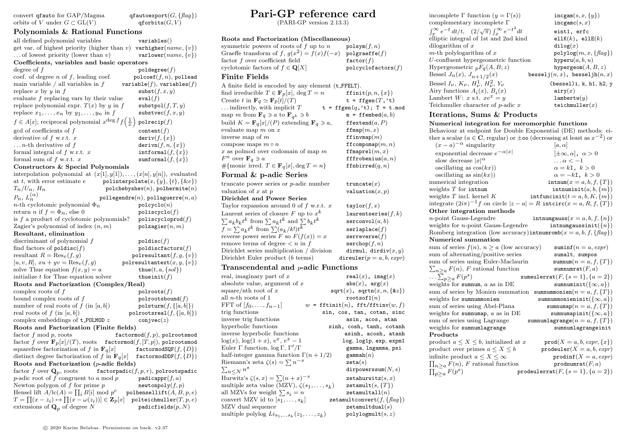| orbits of V under $G \subset GL(V)$                                                                                                                                                               | $q$ forbits $(G, V)$                                                                         |
|---------------------------------------------------------------------------------------------------------------------------------------------------------------------------------------------------|----------------------------------------------------------------------------------------------|
| Polynomials & Rational Functions                                                                                                                                                                  |                                                                                              |
| all defined polynomial variables<br>get var. of highest priority (higher than v) varhigher $(name, \{v\})$<br>of lowest priority (lower than $v$ )<br>Coefficients, variables and basic operators | variables()<br>$\texttt{varlower}(\textit{name}, \{v\})$                                     |
| degree of $f$                                                                                                                                                                                     | $p$ oldegree $(f)$                                                                           |
| coef. of degree $n$ of $f$ , leading coef.<br>main variable $\slash$ all variables in $f$                                                                                                         | $\texttt{polcoeff}(f,n),\,\texttt{pollead}$<br>$\mathtt{variable}(f), \mathtt{variables}(f)$ |
| replace x by y in $f$                                                                                                                                                                             | $\mathtt{subst}(f, x, y)$                                                                    |
| evaluate $f$ replacing vars by their value                                                                                                                                                        | eval(f)                                                                                      |
| replace polynomial expr. $T(x)$ by y in f<br>replace $x_1, \ldots, x_n$ by $y_1, \ldots, y_n$ in f                                                                                                | $\mathtt{substopl}(f,T,y)$<br>$\mathtt{substvec}(f,x,y)$                                     |
| $f \in A[x]$ ; reciprocal polynomial $x^{\deg f} f\left(\frac{1}{x}\right)$                                                                                                                       | $p$ olrecip $(f)$                                                                            |
| gcd of coefficients of f                                                                                                                                                                          | $\texttt{content}(f)$                                                                        |
| derivative of $f$ w.r.t. $x$                                                                                                                                                                      | $\texttt{deriv}(f, \{x\})$                                                                   |
| $\dots n$ -th derivative of f                                                                                                                                                                     | $\texttt{derivn}(f, n, \{x\})$                                                               |
| formal integral of $f$ w.r.t. $x$                                                                                                                                                                 | ${\tt intformal}(f, \{x\})$                                                                  |
| formal sum of $f$ w.r.t. $x$                                                                                                                                                                      | $\texttt{sumformal}(f, \{x\})$                                                               |
| Constructors & Special Polynomials                                                                                                                                                                |                                                                                              |
| interpolation polynomial at $(x[1], y[1]), \ldots, (x[n], y[n]),$ evaluated                                                                                                                       |                                                                                              |
| at $t$ , with error estimate $e$                                                                                                                                                                  | $p$ olinterpolate $(x, \{y\}, \{t\}, \{ke\})$                                                |
| $T_n/U_n$ , $H_n$                                                                                                                                                                                 | $p$ olchebyshev $(n)$ , polhermite $(n)$                                                     |
| $P_n, L_n^{(\alpha)}$                                                                                                                                                                             | $p$ ollegendre $(n)$ , pollaguerre $(n, a)$                                                  |
| <i>n</i> -th cyclotomic polynomial $\Phi_n$                                                                                                                                                       | $p$ olcyclo $(n)$                                                                            |
| return <i>n</i> if $f = \Phi_n$ , else 0                                                                                                                                                          | poliscyclo(f)                                                                                |
| is $f$ a product of cyclotomic polynomials?                                                                                                                                                       | $p$ oliscycloprod $(f)$                                                                      |
| Zagier's polynomial of index $(n, m)$                                                                                                                                                             | $p$ olzagier $(n, m)$                                                                        |
| Resultant, elimination                                                                                                                                                                            |                                                                                              |
| discriminant of polynomial $\boldsymbol{f}$                                                                                                                                                       | $p$ oldisc $(f)$                                                                             |
| find factors of $p$ oldisc $(f)$                                                                                                                                                                  | $p$ oldiscfactors $(f)$                                                                      |
| resultant $R = \text{Res}_v(f, g)$                                                                                                                                                                | $\mathtt{polresultant}(f, g, \{v\})$                                                         |
| $[u, v, R], xu + yv = \text{Res}_{v}(f, g)$                                                                                                                                                       | $\mathtt{polresultantext}(x, y, \{v\})$                                                      |
| solve Thue equation $f(x, y) = a$                                                                                                                                                                 | thue $(t, a, \{sol\})$                                                                       |
| initialize t for Thue equation solver                                                                                                                                                             | thueinit $(f)$                                                                               |
| Roots and Factorization (Complex/Real)                                                                                                                                                            |                                                                                              |
| complex roots of $f$                                                                                                                                                                              | polroots(f)                                                                                  |
| bound complex roots of $f$                                                                                                                                                                        | $polroot$ sbound $(f)$                                                                       |
| number of real roots of $f$ (in [a, b])                                                                                                                                                           | $\texttt{polsturm}(f, \{[a, b]\})$                                                           |
| real roots of $f$ (in [a, b])                                                                                                                                                                     | $\texttt{polrootsreal}(f,\{[a,b]\})$                                                         |
| complex embeddings of $t$ -POLMOD $z$                                                                                                                                                             | $\texttt{conjvec}(z)$                                                                        |
| Roots and Factorization (Finite fields)                                                                                                                                                           |                                                                                              |
| factor $f \mod p$ , roots                                                                                                                                                                         | $\mathtt{factormod}(f,p),$ $\mathtt{polrootsmod}$                                            |
| factor f over $\mathbf{F}_p[x]/(T)$ , roots factormod $(f, [T, p])$ , polrootsmod                                                                                                                 |                                                                                              |
| squarefree factorization of f in $\mathbf{F}_q[x]$                                                                                                                                                | factormodSQF $(f, \{D\})$                                                                    |
| distinct degree factorization of f in $\mathbf{F}_q[x]$ factormodDDF $(f, \{D\})$                                                                                                                 |                                                                                              |
| Roots and Factorization ( $p$ -adic fields)                                                                                                                                                       |                                                                                              |
| factor f over $\mathbf{Q}_p$ , roots                                                                                                                                                              | $\mathtt{factorpadic}(f,p,r),$ polrootspadic                                                 |
| <i>p</i> -adic root of $f$ congruent to a mod p                                                                                                                                                   | $\mathtt{padicappr}(f,a)$                                                                    |
| Newton polygon of $f$ for prime $p$                                                                                                                                                               | $\mathtt{newtopoly}(f,p)$                                                                    |
| Hensel lift $A/\text{lc}(A) = \prod_i B[i] \text{ mod } p^e$                                                                                                                                      | $p$ olhensellift $(A, B, p, e)$                                                              |
| $T = \prod(x - z_i) \mapsto \prod(x - \omega(z_i)) \in \mathbf{Z}_p[x]$                                                                                                                           | $p$ olteichmuller $(T, p, e)$                                                                |
| extensions of $\mathbf{Q}_p$ of degree N                                                                                                                                                          | $p$ adicfields $(p, N)$                                                                      |

convert qfauto for  $\text{GAP}/\text{Magma}$  qfautoexport $(G, \{flag\})$ 

# Pari-GP reference card

 $(PARI-GP version 2.13.3)$ 

| Roots and Factorization (Miscellaneous)                                                                                         |
|---------------------------------------------------------------------------------------------------------------------------------|
| symmetric powers of roots of $f$ up to $n$<br>$\texttt{polsym}(f,n)$                                                            |
| Graeffe transform of f, $g(x^2) = f(x)f(-x)$<br>polgraeffe(f)                                                                   |
| factor $f$ over coefficient field<br>factor $(f)$                                                                               |
| cyclotomic factors of $f \in \mathbf{Q}[X]$<br>polcyclofactors(f)                                                               |
| Finite Fields                                                                                                                   |
| A finite field is encoded by any element (t_FFELT).                                                                             |
| find irreducible $T \in \mathbf{F}_p[x]$ , deg $T = n$<br>$\mathtt{ffinit}(p,n,\{x\})$                                          |
| Create t in $\mathbf{F}_q \simeq \mathbf{F}_p[t]/(T)$<br>$t = ffgen(T, 't)$                                                     |
| $t = ffgen(q, 't); T = t.mod$<br>$\dots$ indirectly, with implicit T                                                            |
| map m from $\mathbf{F}_q \ni a$ to $\mathbf{F}_{q^k} \ni b$<br>$m = \texttt{ffembed}(a, b)$                                     |
| build $K = \mathbf{F}_q[x]/(P)$ extending $\mathbf{F}_q \ni a$ ,<br>$\mathtt{ffextend}(a,P)$                                    |
| ffmap $(m,x)$<br>evaluate map $m$ on $x$                                                                                        |
| inverse map of $m$<br>ffinvmap $(m)$                                                                                            |
| $\verb ffcompomap (m,n)$<br>compose maps $m \circ n$                                                                            |
| $x$ as polmod over codomain of map $m$<br>${\tt ffmaprel}(m,x)$                                                                 |
| $F^n$ over $\mathbf{F}_q \ni a$<br>fffrobenius $(a,n)$                                                                          |
| #{monic irred. $T \in \mathbf{F}_q[x]$ , deg $T = n$ }<br>ffnbirred $(q,n)$                                                     |
| Formal & p-adic Series                                                                                                          |
| truncate power series or $p$ -adic number<br>$\texttt{truncated}(x)$                                                            |
| valuation of $x$ at $p$<br>$\texttt{valuation}(x, p)$                                                                           |
| Dirichlet and Power Series                                                                                                      |
| Taylor expansion around 0 of $f$ w.r.t. $x$<br>$\texttt{taylor}(f,x)$                                                           |
| Laurent series of closure F up to $x^k$<br>$1$ aurentseries $(f, k)$                                                            |
| $\sum a_k b_k t^k$ from $\sum a_k t^k$ and $\sum b_k t^k$<br>$\mathtt{serconvol}(a,b)$                                          |
| $f = \sum a_k t^k$ from $\sum (a_k/k!)t^k$<br>$\texttt{serlaplace}(f)$                                                          |
| reverse power series F so $F(f(x)) = x$<br>$s$ erreverse $(f)$                                                                  |
| remove terms of degree $\lt n$ in f<br>$\mathtt{serchop}(f,n)$                                                                  |
| Dirichlet series multiplication $\frac{\partial}{\partial x}$ division<br>$\tt{dirmul, dirdiv}(x, y)$                           |
| Dirichlet Euler product (b terms)<br>direuler $(p = a, b, expr)$                                                                |
| Transcendental and $p$ -adic Functions                                                                                          |
| real, imaginary part of $x$<br>$\mathtt{real}(x)$ , imag $(x)$                                                                  |
| $abs(x)$ , $arg(x)$<br>absolute value, argument of $x$                                                                          |
| $sqrt(x)$ , sqrtn $(x, n, \{2z\})$<br>square/nth root of $x$                                                                    |
| all <i>n</i> -th roots of 1<br>${\tt rootsof1}(n)$                                                                              |
| FFT of $[f_0,\ldots,f_{n-1}]$<br>$w = \texttt{fftinit}(n)$ , fft/fftinv $(w, f)$                                                |
| trig functions<br>sin, cos, tan, cotan, sinc                                                                                    |
| inverse trig functions<br>asin, acos, atan                                                                                      |
| hyperbolic functions<br>sinh, cosh, tanh, cotanh                                                                                |
| inverse hyperbolic functions<br>asinh, acosh, atanh                                                                             |
| $log(x), log(1+x), e^x, e^x - 1$<br>log, log1p, exp, expm1                                                                      |
| Euler $\Gamma$ function, $\log \Gamma,\, \Gamma'/\Gamma$<br>gamma, lngamma, psi                                                 |
| half-integer gamma function $\Gamma(n+1/2)$<br>$\texttt{gamma}(n)$                                                              |
| Riemann's zeta $\zeta(s) = \sum n^{-s}$<br>$\mathtt{zeta}(s)$                                                                   |
| $\sum_{n\leq N} n^s$<br>$\tt{dirpowerssum}(N, s)$                                                                               |
| Hurwitz's $\zeta(s,x) = \sum (n+x)^{-s}$<br>$\mathtt{zetahurwitz}(s, x)$                                                        |
|                                                                                                                                 |
| multiple zeta value (MZV), $\zeta(s_1,\ldots,s_k)$<br>$\texttt{zeta}(\mathit{s},\{T\})$                                         |
| all MZVs for weight $\sum s_i = n$<br>$\texttt{zetamultall}(n)$                                                                 |
| convert MZV id to $[s_1, \ldots, s_k]$<br>$z$ etamultconvert $(f, \{flag\})$<br>MZV dual sequence<br>$\texttt{zetamultdual}(s)$ |

| incomplete $\Gamma$ function $(y = \Gamma(s))$                                                  | $\texttt{incgam}(s, x, \{y\})$        |
|-------------------------------------------------------------------------------------------------|---------------------------------------|
| complementary incomplete $\Gamma$                                                               | $\mathtt{incgame}(s,x)$               |
| $\int_x^{\infty} e^{-t} dt/t, \quad (2/\sqrt{\pi}) \int_x^{\infty} e^{-t^2} dt$                 | eint1, erfc                           |
| elliptic integral of 1st and 2nd kind                                                           | ell $K(k)$ , ell $E(k)$               |
| dilogarithm of $x$                                                                              | $\mathtt{dilog}(x)$                   |
| $m$ -th polylogarithm of $x$                                                                    | $polylog(m, x, \{flag\})$             |
| $U$ -confluent hypergeometric function                                                          | hyperu $(a, b, u)$                    |
| Hypergeometric $p F_q(A, B; z)$                                                                 | hypergeom $(A, B, z)$                 |
| Bessel $J_n(x)$ , $J_{n+1/2}(x)$                                                                | besselj $(n, x)$ , besseljh $(n, x)$  |
| Bessel $I_{\nu}$ , $K_{\nu}$ , $H_{\nu}^{1}$ , $H_{\nu}^{2}$ , $Y_{\nu}$                        | $(bessel)$ i, k, h1, h2, y            |
| Airy functions $A_i(x)$ , $B_i(x)$                                                              | $\mathtt{airy}(x)$                    |
| Lambert <i>W</i> : $x$ s.t. $xe^x = y$                                                          | $l$ ambertw $(y)$                     |
| Teichmuller character of $p$ -adic $x$                                                          | teichmuller $(x)$                     |
| Iterations, Sums & Products                                                                     |                                       |
| Numerical integration for meromorphic functions                                                 |                                       |
| Behaviour at endpoint for Double Exponential (DE) methods: ei-                                  |                                       |
| ther a scalar ( $a \in \mathbb{C}$ , regular) or $\pm$ oo (decreasing at least as $x^{-2}$ ) or |                                       |
| $(x-a)^{-\alpha}$ singularity                                                                   | $ a,\alpha $                          |
| exponential decrease $e^{-\alpha x }$                                                           | $[\pm \infty, \alpha]$ , $\alpha > 0$ |
| slow decrease $ x ^\alpha$                                                                      | $\dots \alpha < -1$                   |
| oscillating as $cos(kx)$                                                                        | $\alpha = kI, k > 0$                  |
| oscillating as $sin(kx)$                                                                        | $\alpha = -kI, k > 0$                 |
| numerical integration                                                                           | $\text{intnum}(x = a, b, f, \{T\})$   |
| weights $T$ for intnum                                                                          | intnuminit $(a, b, \{m\})$            |
| weights $T$ incl. kernel $K$                                                                    | $intfunctionit(t = a, b, K, \{m\})$   |
| integrate $(2i\pi)^{-1}f$ on circle $ z - a  = R$ intcirc $(x = a, R, f, \{T\})$                |                                       |
| Other integration methods                                                                       |                                       |
| $n$ -point Gauss-Legendre                                                                       | intnumgauss $(x = a, b, f, \{n\})$    |
| weights for $n$ -point Gauss-Legendre                                                           | intnumgaussinit( $\{n\}$ )            |
| Romberg integration (low accuracy)intrium $\text{rank}(x = a, b, f, \{flag\})$                  |                                       |
| Numerical summation                                                                             |                                       |
| sum of series $f(n)$ , $n \ge a$ (low accuracy)                                                 | suminf $(n = a, expr)$                |
| sum of alternating/positive series                                                              | sumalt, sumpos                        |

| sum of series using Euler-Maclaurin<br>sumnum $(n = a, f, \{T\})$<br>$\sum_{n> a} F(n)$ , F rational function<br>sumnumrat $(F, a)$<br>$\ldots \sum_{p>a} F(p^s)$<br>sumeulerrat $(F, \{s = 1\}, \{a = 2\})$<br>sumnuminit $({\infty, a})$<br>weights for sumnum, $a$ as in DE<br>sum of series by Monien summation<br>sumnummonien $(n = a, f, \{T\})$<br>sumnummonieninit $({\infty, a})$<br>weights for sumnummonien<br>sumnumap $(n = a, f, \{T\})$<br>sum of series using Abel-Plana<br>weights for sumnumap, $a$ as in DE<br>sumnumapinit $({\infty, a})$<br>sum of series using Lagrange<br>sumnumlagrange $(n = a, f, \{T\})$<br>weights for sumnumlagrange<br>sumnumlagrangeinit<br>Products<br>product $a \leq X \leq b$ , initialized at x<br>$\texttt{prod}(X = a, b, \text{expr}, \{x\})$ |  |
|--------------------------------------------------------------------------------------------------------------------------------------------------------------------------------------------------------------------------------------------------------------------------------------------------------------------------------------------------------------------------------------------------------------------------------------------------------------------------------------------------------------------------------------------------------------------------------------------------------------------------------------------------------------------------------------------------------------------------------------------------------------------------------------------------------|--|
|                                                                                                                                                                                                                                                                                                                                                                                                                                                                                                                                                                                                                                                                                                                                                                                                        |  |
|                                                                                                                                                                                                                                                                                                                                                                                                                                                                                                                                                                                                                                                                                                                                                                                                        |  |
|                                                                                                                                                                                                                                                                                                                                                                                                                                                                                                                                                                                                                                                                                                                                                                                                        |  |
|                                                                                                                                                                                                                                                                                                                                                                                                                                                                                                                                                                                                                                                                                                                                                                                                        |  |
|                                                                                                                                                                                                                                                                                                                                                                                                                                                                                                                                                                                                                                                                                                                                                                                                        |  |
|                                                                                                                                                                                                                                                                                                                                                                                                                                                                                                                                                                                                                                                                                                                                                                                                        |  |
|                                                                                                                                                                                                                                                                                                                                                                                                                                                                                                                                                                                                                                                                                                                                                                                                        |  |
|                                                                                                                                                                                                                                                                                                                                                                                                                                                                                                                                                                                                                                                                                                                                                                                                        |  |
|                                                                                                                                                                                                                                                                                                                                                                                                                                                                                                                                                                                                                                                                                                                                                                                                        |  |
|                                                                                                                                                                                                                                                                                                                                                                                                                                                                                                                                                                                                                                                                                                                                                                                                        |  |
|                                                                                                                                                                                                                                                                                                                                                                                                                                                                                                                                                                                                                                                                                                                                                                                                        |  |
|                                                                                                                                                                                                                                                                                                                                                                                                                                                                                                                                                                                                                                                                                                                                                                                                        |  |
| product over primes $a \leq X \leq b$<br>prodeuler $(X = a, b, expr)$                                                                                                                                                                                                                                                                                                                                                                                                                                                                                                                                                                                                                                                                                                                                  |  |
| $\text{product}(X=a, \text{expr})$<br>infinite product $a \leq X \leq \infty$                                                                                                                                                                                                                                                                                                                                                                                                                                                                                                                                                                                                                                                                                                                          |  |
| $\prod_{n>a} F(n)$ , F rational function<br>$\mathsf{prodnumrat}(F,a)$                                                                                                                                                                                                                                                                                                                                                                                                                                                                                                                                                                                                                                                                                                                                 |  |
| prodeulerrat $(F, \{s = 1\}, \{a = 2\})$<br>$\prod_{p>a} F(p^s)$                                                                                                                                                                                                                                                                                                                                                                                                                                                                                                                                                                                                                                                                                                                                       |  |